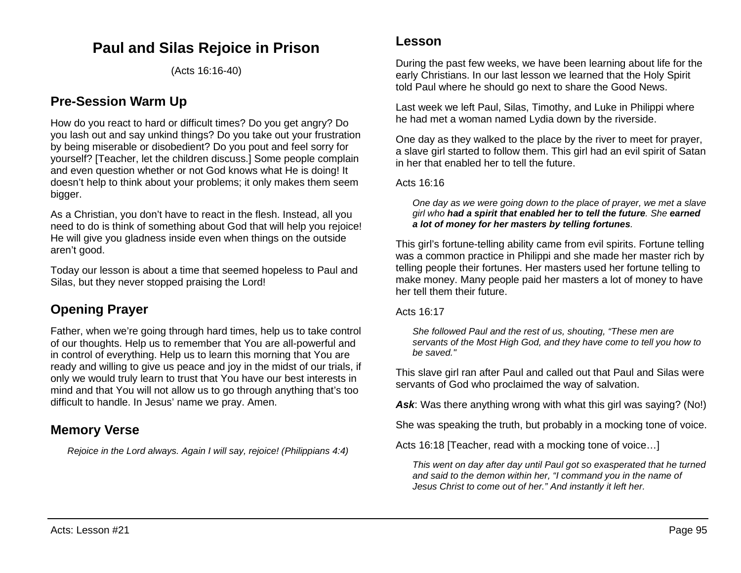# **Paul and Silas Rejoice in Prison**

(Acts 16:16-40)

# **Pre-Session Warm Up**

How do you react to hard or difficult times? Do you get angry? Do you lash out and say unkind things? Do you take out your frustration by being miserable or disobedient? Do you pout and feel sorry for yourself? [Teacher, let the children discuss.] Some people complain and even question whether or not God knows what He is doing! It doesn't help to think about your problems; it only makes them seem bigger.

As a Christian, you don't have to react in the flesh. Instead, all you need to do is think of something about God that will help you rejoice! He will give you gladness inside even when things on the outside aren't good.

Today our lesson is about a time that seemed hopeless to Paul and Silas, but they never stopped praising the Lord!

# **Opening Prayer**

Father, when we're going through hard times, help us to take control of our thoughts. Help us to remember that You are all-powerful and in control of everything. Help us to learn this morning that You are ready and willing to give us peace and joy in the midst of our trials, if only we would truly learn to trust that You have our best interests in mind and that You will not allow us to go through anything that's too difficult to handle. In Jesus' name we pray. Amen.

# **Memory Verse**

*Rejoice in the Lord always. Again I will say, rejoice! (Philippians 4:4)*

## **Lesson**

During the past few weeks, we have been learning about life for the early Christians. In our last lesson we learned that the Holy Spirit told Paul where he should go next to share the Good News.

Last week we left Paul, Silas, Timothy, and Luke in Philippi where he had met a woman named Lydia down by the riverside.

One day as they walked to the place by the river to meet for prayer, a slave girl started to follow them. This girl had an evil spirit of Satan in her that enabled her to tell the future.

#### Acts 16:16

*One day as we were going down to the place of prayer, we met a slave girl who had a spirit that enabled her to tell the future. She earned a lot of money for her masters by telling fortunes.* 

This girl's fortune-telling ability came from evil spirits. Fortune telling was a common practice in Philippi and she made her master rich by telling people their fortunes. Her masters used her fortune telling to make money. Many people paid her masters a lot of money to have her tell them their future.

Acts 16:17

*She followed Paul and the rest of us, shouting, "These men are servants of the Most High God, and they have come to tell you how to be saved."*

This slave girl ran after Paul and called out that Paul and Silas were servants of God who proclaimed the way of salvation.

Ask: Was there anything wrong with what this girl was saying? (No!)

She was speaking the truth, but probably in a mocking tone of voice.

Acts 16:18 [Teacher, read with a mocking tone of voice…]

*This went on day after day until Paul got so exasperated that he turned and said to the demon within her, "I command you in the name of Jesus Christ to come out of her." And instantly it left her.*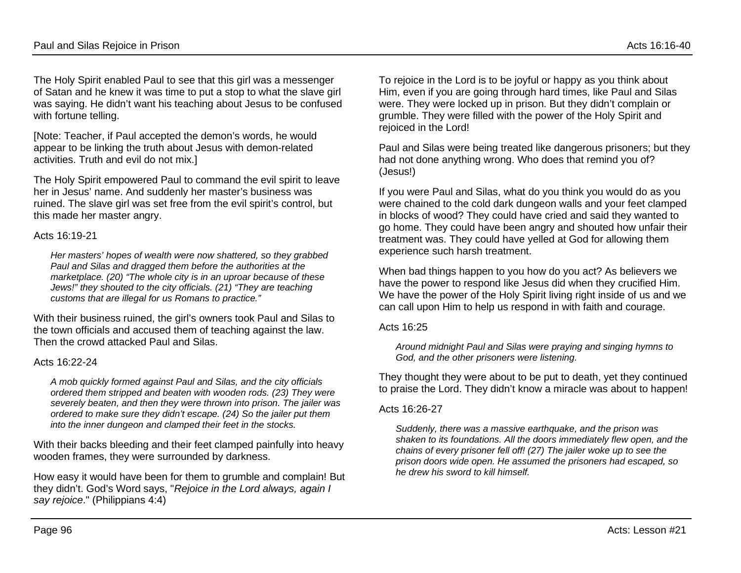The Holy Spirit enabled Paul to see that this girl was a messenger of Satan and he knew it was time to put a stop to what the slave girl was saying. He didn't want his teaching about Jesus to be confused with fortune telling.

[Note: Teacher, if Paul accepted the demon's words, he would appear to be linking the truth about Jesus with demon-related activities. Truth and evil do not mix.]

The Holy Spirit empowered Paul to command the evil spirit to leave her in Jesus' name. And suddenly her master's business was ruined. The slave girl was set free from the evil spirit's control, but this made her master angry.

#### Acts 16:19-21

*Her masters' hopes of wealth were now shattered, so they grabbed Paul and Silas and dragged them before the authorities at the marketplace. (20) "The whole city is in an uproar because of these Jews!" they shouted to the city officials. (21) "They are teaching customs that are illegal for us Romans to practice."*

With their business ruined, the girl's owners took Paul and Silas to the town officials and accused them of teaching against the law. Then the crowd attacked Paul and Silas.

### Acts 16:22-24

*A mob quickly formed against Paul and Silas, and the city officials ordered them stripped and beaten with wooden rods. (23) They were severely beaten, and then they were thrown into prison. The jailer was ordered to make sure they didn't escape. (24) So the jailer put them into the inner dungeon and clamped their feet in the stocks.*

With their backs bleeding and their feet clamped painfully into heavy wooden frames, they were surrounded by darkness.

How easy it would have been for them to grumble and complain! But they didn't. God's Word says, "*Rejoice in the Lord always, again I say rejoice*." (Philippians 4:4)

To rejoice in the Lord is to be joyful or happy as you think about Him, even if you are going through hard times, like Paul and Silas were. They were locked up in prison. But they didn't complain or grumble. They were filled with the power of the Holy Spirit and rejoiced in the Lord!

Paul and Silas were being treated like dangerous prisoners; but they had not done anything wrong. Who does that remind you of? (Jesus!)

If you were Paul and Silas, what do you think you would do as you were chained to the cold dark dungeon walls and your feet clamped in blocks of wood? They could have cried and said they wanted to go home. They could have been angry and shouted how unfair their treatment was. They could have yelled at God for allowing them experience such harsh treatment.

When bad things happen to you how do you act? As believers we have the power to respond like Jesus did when they crucified Him. We have the power of the Holy Spirit living right inside of us and we can call upon Him to help us respond in with faith and courage.

#### Acts 16:25

*Around midnight Paul and Silas were praying and singing hymns to God, and the other prisoners were listening.*

They thought they were about to be put to death, yet they continued to praise the Lord. They didn't know a miracle was about to happen!

### Acts 16:26-27

*Suddenly, there was a massive earthquake, and the prison was shaken to its foundations. All the doors immediately flew open, and the chains of every prisoner fell off! (27) The jailer woke up to see the prison doors wide open. He assumed the prisoners had escaped, so he drew his sword to kill himself.*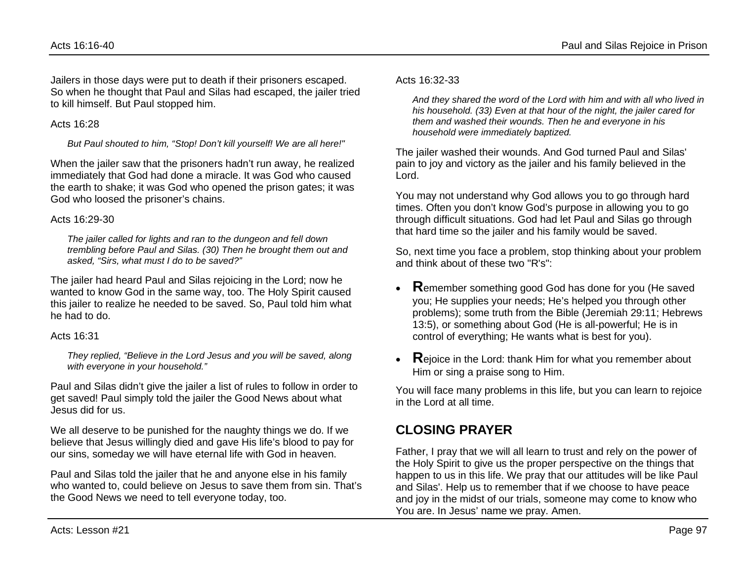Jailers in those days were put to death if their prisoners escaped. So when he thought that Paul and Silas had escaped, the jailer tried to kill himself. But Paul stopped him.

#### Acts  $16:28$

*But Paul shouted to him, "Stop! Don't kill yourself! We are all here!"*

When the jailer saw that the prisoners hadn't run away, he realized immediately that God had done a miracle. It was God who caused the earth to shake; it was God who opened the prison gates; it was God who loosed the prisoner's chains.

### Acts 16:29-30

*The jailer called for lights and ran to the dungeon and fell down trembling before Paul and Silas. (30) Then he brought them out and asked, "Sirs, what must I do to be saved?"*

The jailer had heard Paul and Silas rejoicing in the Lord; now he wanted to know God in the same way, too. The Holy Spirit caused this jailer to realize he needed to be saved. So, Paul told him what he had to do.

## Acts 16:31

*They replied, "Believe in the Lord Jesus and you will be saved, along with everyone in your household."*

Paul and Silas didn't give the jailer a list of rules to follow in order to get saved! Paul simply told the jailer the Good News about what Jesus did for us.

We all deserve to be punished for the naughty things we do. If we believe that Jesus willingly died and gave His life's blood to pay for our sins, someday we will have eternal life with God in heaven.

Paul and Silas told the jailer that he and anyone else in his family who wanted to, could believe on Jesus to save them from sin. That's the Good News we need to tell everyone today, too.

### Acts 16:32-33

*And they shared the word of the Lord with him and with all who lived in his household. (33) Even at that hour of the night, the jailer cared for them and washed their wounds. Then he and everyone in his household were immediately baptized.*

The jailer washed their wounds. And God turned Paul and Silas' pain to joy and victory as the jailer and his family believed in the Lord.

You may not understand why God allows you to go through hard times. Often you don't know God's purpose in allowing you to go through difficult situations. God had let Paul and Silas go through that hard time so the jailer and his family would be saved.

So, next time you face a problem, stop thinking about your problem and think about of these two "R's":

- **R**emember something good God has done for you (He saved you; He supplies your needs; He's helped you through other problems); some truth from the Bible (Jeremiah 29:11; Hebrews 13:5), or something about God (He is all-powerful; He is in control of everything; He wants what is best for you).
- **R**ejoice in the Lord: thank Him for what you remember about Him or sing a praise song to Him.

You will face many problems in this life, but you can learn to rejoice in the Lord at all time.

# **CLOSING PRAYER**

Father, I pray that we will all learn to trust and rely on the power of the Holy Spirit to give us the proper perspective on the things that happen to us in this life. We pray that our attitudes will be like Paul and Silas'. Help us to remember that if we choose to have peace and joy in the midst of our trials, someone may come to know who You are. In Jesus' name we pray. Amen.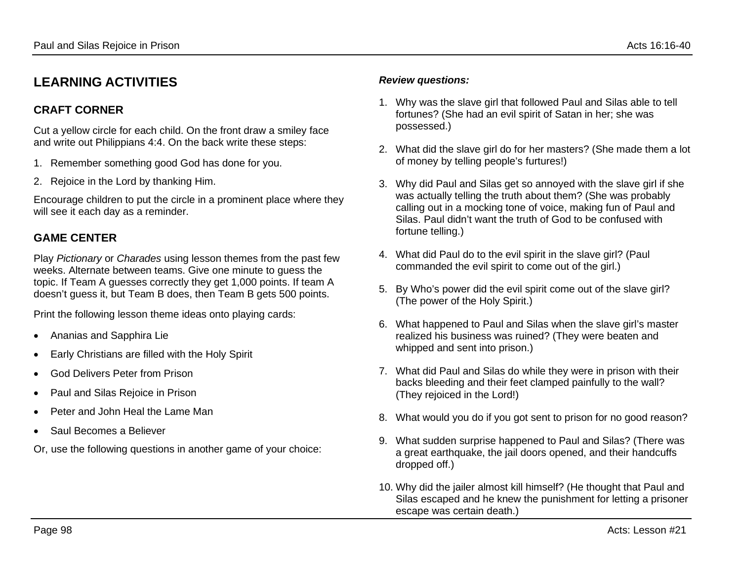# **LEARNING ACTIVITIES**

## **CRAFT CORNER**

Cut a yellow circle for each child. On the front draw a smiley face and write out Philippians 4:4. On the back write these steps:

- 1. Remember something good God has done for you.
- 2. Rejoice in the Lord by thanking Him.

Encourage children to put the circle in a prominent place where they will see it each day as a reminder.

# **GAME CENTER**

Play *Pictionary* or *Charades* using lesson themes from the past few weeks. Alternate between teams. Give one minute to guess the topic. If Team A guesses correctly they get 1,000 points. If team A doesn't guess it, but Team B does, then Team B gets 500 points.

Print the following lesson theme ideas onto playing cards:

- Ananias and Sapphira Lie
- Early Christians are filled with the Holy Spirit
- God Delivers Peter from Prison
- Paul and Silas Rejoice in Prison
- Peter and John Heal the Lame Man
- Saul Becomes a Believer

Or, use the following questions in another game of your choice:

### *Review questions:*

- 1. Why was the slave girl that followed Paul and Silas able to tell fortunes? (She had an evil spirit of Satan in her; she was possessed.)
- 2. What did the slave girl do for her masters? (She made them a lot of money by telling people's furtures!)
- 3. Why did Paul and Silas get so annoyed with the slave girl if she was actually telling the truth about them? (She was probably calling out in a mocking tone of voice, making fun of Paul and Silas. Paul didn't want the truth of God to be confused with fortune telling.)
- 4. What did Paul do to the evil spirit in the slave girl? (Paul commanded the evil spirit to come out of the girl.)
- 5. By Who's power did the evil spirit come out of the slave girl? (The power of the Holy Spirit.)
- 6. What happened to Paul and Silas when the slave girl's master realized his business was ruined? (They were beaten and whipped and sent into prison.)
- 7. What did Paul and Silas do while they were in prison with their backs bleeding and their feet clamped painfully to the wall? (They rejoiced in the Lord!)
- 8. What would you do if you got sent to prison for no good reason?
- 9. What sudden surprise happened to Paul and Silas? (There was a great earthquake, the jail doors opened, and their handcuffs dropped off.)
- 10. Why did the jailer almost kill himself? (He thought that Paul and Silas escaped and he knew the punishment for letting a prisoner escape was certain death.)